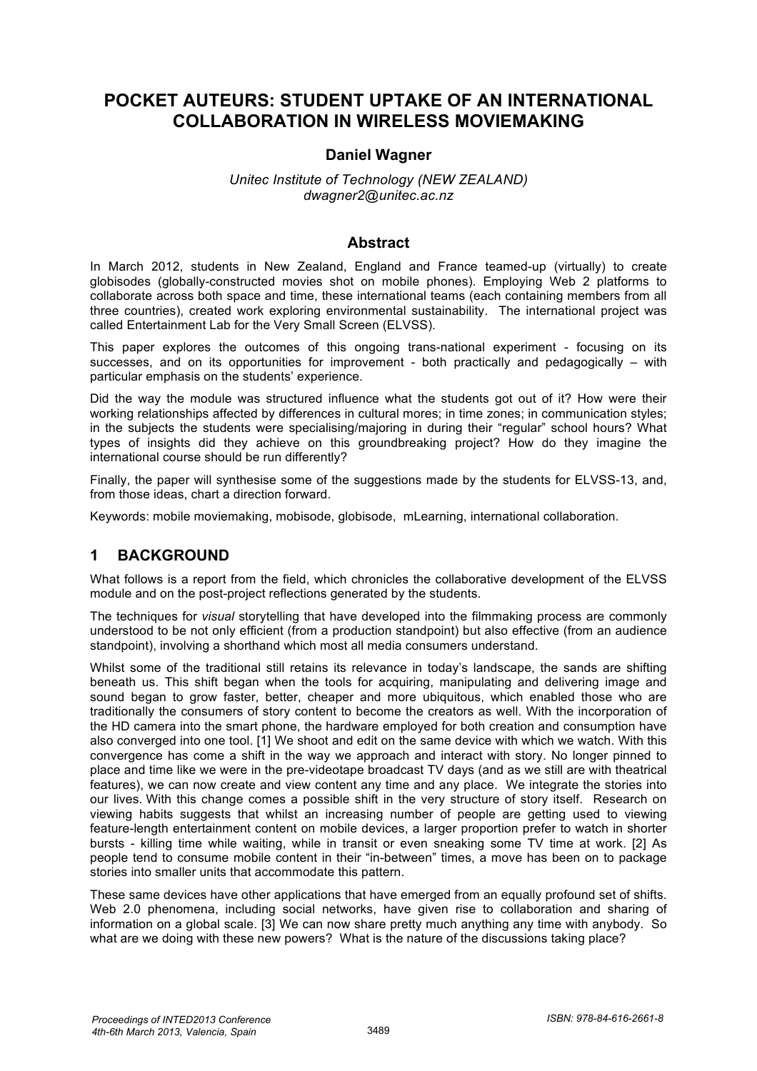# **POCKET AUTEURS: STUDENT UPTAKE OF AN INTERNATIONAL COLLABORATION IN WIRELESS MOVIEMAKING**

#### **Daniel Wagner**

#### *Unitec Institute of Technology (NEW ZEALAND) dwagner2@unitec.ac.nz*

#### **Abstract**

In March 2012, students in New Zealand, England and France teamed-up (virtually) to create globisodes (globally-constructed movies shot on mobile phones). Employing Web 2 platforms to collaborate across both space and time, these international teams (each containing members from all three countries), created work exploring environmental sustainability. The international project was called Entertainment Lab for the Very Small Screen (ELVSS).

This paper explores the outcomes of this ongoing trans-national experiment - focusing on its successes, and on its opportunities for improvement - both practically and pedagogically – with particular emphasis on the students' experience.

Did the way the module was structured influence what the students got out of it? How were their working relationships affected by differences in cultural mores; in time zones; in communication styles; in the subjects the students were specialising/majoring in during their "regular" school hours? What types of insights did they achieve on this groundbreaking project? How do they imagine the international course should be run differently?

Finally, the paper will synthesise some of the suggestions made by the students for ELVSS-13, and, from those ideas, chart a direction forward.

Keywords: mobile moviemaking, mobisode, globisode, mLearning, international collaboration.

#### **1 BACKGROUND**

What follows is a report from the field, which chronicles the collaborative development of the ELVSS module and on the post-project reflections generated by the students.

The techniques for *visual* storytelling that have developed into the filmmaking process are commonly understood to be not only efficient (from a production standpoint) but also effective (from an audience standpoint), involving a shorthand which most all media consumers understand.

Whilst some of the traditional still retains its relevance in today's landscape, the sands are shifting beneath us. This shift began when the tools for acquiring, manipulating and delivering image and sound began to grow faster, better, cheaper and more ubiquitous, which enabled those who are traditionally the consumers of story content to become the creators as well. With the incorporation of the HD camera into the smart phone, the hardware employed for both creation and consumption have also converged into one tool. [1] We shoot and edit on the same device with which we watch. With this convergence has come a shift in the way we approach and interact with story. No longer pinned to place and time like we were in the pre-videotape broadcast TV days (and as we still are with theatrical features), we can now create and view content any time and any place. We integrate the stories into our lives. With this change comes a possible shift in the very structure of story itself. Research on viewing habits suggests that whilst an increasing number of people are getting used to viewing feature-length entertainment content on mobile devices, a larger proportion prefer to watch in shorter bursts - killing time while waiting, while in transit or even sneaking some TV time at work. [2] As people tend to consume mobile content in their "in-between" times, a move has been on to package stories into smaller units that accommodate this pattern.

These same devices have other applications that have emerged from an equally profound set of shifts. Web 2.0 phenomena, including social networks, have given rise to collaboration and sharing of information on a global scale. [3] We can now share pretty much anything any time with anybody. So what are we doing with these new powers? What is the nature of the discussions taking place?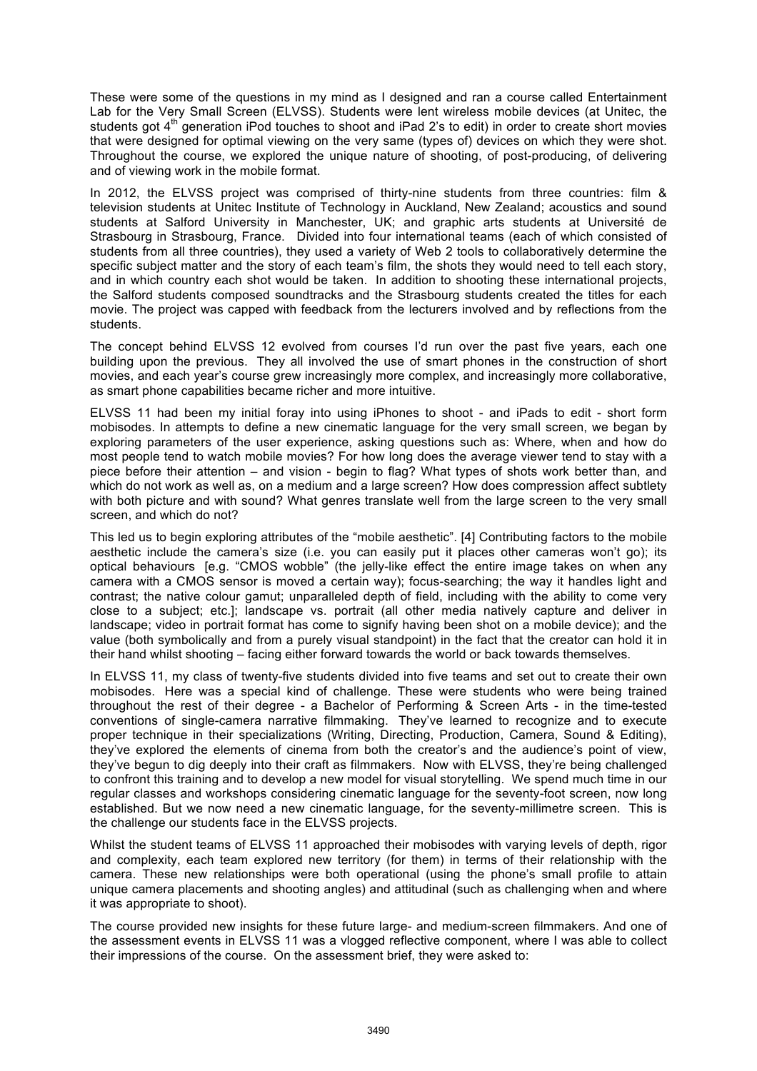These were some of the questions in my mind as I designed and ran a course called Entertainment Lab for the Very Small Screen (ELVSS). Students were lent wireless mobile devices (at Unitec, the students got 4<sup>th</sup> generation iPod touches to shoot and iPad 2's to edit) in order to create short movies that were designed for optimal viewing on the very same (types of) devices on which they were shot. Throughout the course, we explored the unique nature of shooting, of post-producing, of delivering and of viewing work in the mobile format.

In 2012, the ELVSS project was comprised of thirty-nine students from three countries: film & television students at Unitec Institute of Technology in Auckland, New Zealand; acoustics and sound students at Salford University in Manchester, UK; and graphic arts students at Université de Strasbourg in Strasbourg, France. Divided into four international teams (each of which consisted of students from all three countries), they used a variety of Web 2 tools to collaboratively determine the specific subject matter and the story of each team's film, the shots they would need to tell each story, and in which country each shot would be taken. In addition to shooting these international projects, the Salford students composed soundtracks and the Strasbourg students created the titles for each movie. The project was capped with feedback from the lecturers involved and by reflections from the students.

The concept behind ELVSS 12 evolved from courses I'd run over the past five years, each one building upon the previous. They all involved the use of smart phones in the construction of short movies, and each year's course grew increasingly more complex, and increasingly more collaborative, as smart phone capabilities became richer and more intuitive.

ELVSS 11 had been my initial foray into using iPhones to shoot - and iPads to edit - short form mobisodes. In attempts to define a new cinematic language for the very small screen, we began by exploring parameters of the user experience, asking questions such as: Where, when and how do most people tend to watch mobile movies? For how long does the average viewer tend to stay with a piece before their attention – and vision - begin to flag? What types of shots work better than, and which do not work as well as, on a medium and a large screen? How does compression affect subtlety with both picture and with sound? What genres translate well from the large screen to the very small screen, and which do not?

This led us to begin exploring attributes of the "mobile aesthetic". [4] Contributing factors to the mobile aesthetic include the camera's size (i.e. you can easily put it places other cameras won't go); its optical behaviours [e.g. "CMOS wobble" (the jelly-like effect the entire image takes on when any camera with a CMOS sensor is moved a certain way); focus-searching; the way it handles light and contrast; the native colour gamut; unparalleled depth of field, including with the ability to come very close to a subject; etc.]; landscape vs. portrait (all other media natively capture and deliver in landscape; video in portrait format has come to signify having been shot on a mobile device); and the value (both symbolically and from a purely visual standpoint) in the fact that the creator can hold it in their hand whilst shooting – facing either forward towards the world or back towards themselves.

In ELVSS 11, my class of twenty-five students divided into five teams and set out to create their own mobisodes. Here was a special kind of challenge. These were students who were being trained throughout the rest of their degree - a Bachelor of Performing & Screen Arts - in the time-tested conventions of single-camera narrative filmmaking. They've learned to recognize and to execute proper technique in their specializations (Writing, Directing, Production, Camera, Sound & Editing), they've explored the elements of cinema from both the creator's and the audience's point of view, they've begun to dig deeply into their craft as filmmakers. Now with ELVSS, they're being challenged to confront this training and to develop a new model for visual storytelling. We spend much time in our regular classes and workshops considering cinematic language for the seventy-foot screen, now long established. But we now need a new cinematic language, for the seventy-millimetre screen. This is the challenge our students face in the ELVSS projects.

Whilst the student teams of ELVSS 11 approached their mobisodes with varying levels of depth, rigor and complexity, each team explored new territory (for them) in terms of their relationship with the camera. These new relationships were both operational (using the phone's small profile to attain unique camera placements and shooting angles) and attitudinal (such as challenging when and where it was appropriate to shoot).

The course provided new insights for these future large- and medium-screen filmmakers. And one of the assessment events in ELVSS 11 was a vlogged reflective component, where I was able to collect their impressions of the course. On the assessment brief, they were asked to: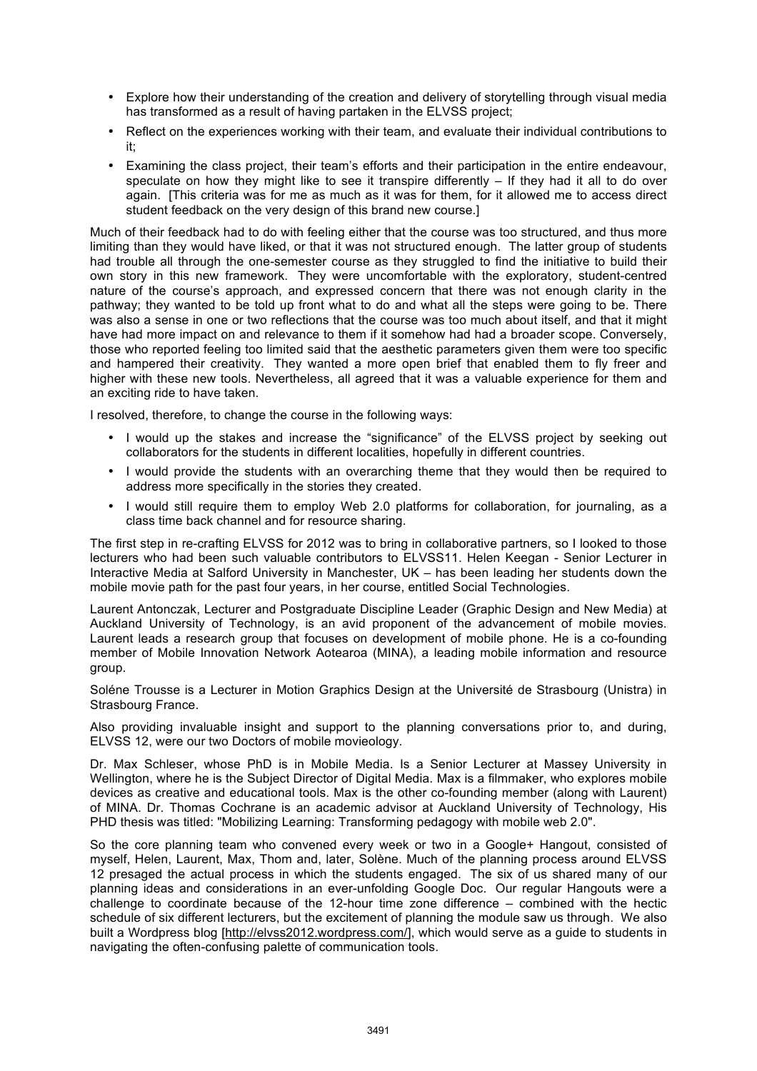- Explore how their understanding of the creation and delivery of storytelling through visual media has transformed as a result of having partaken in the ELVSS project;
- Reflect on the experiences working with their team, and evaluate their individual contributions to it;
- Examining the class project, their team's efforts and their participation in the entire endeavour, speculate on how they might like to see it transpire differently – If they had it all to do over again. [This criteria was for me as much as it was for them, for it allowed me to access direct student feedback on the very design of this brand new course.]

Much of their feedback had to do with feeling either that the course was too structured, and thus more limiting than they would have liked, or that it was not structured enough. The latter group of students had trouble all through the one-semester course as they struggled to find the initiative to build their own story in this new framework. They were uncomfortable with the exploratory, student-centred nature of the course's approach, and expressed concern that there was not enough clarity in the pathway; they wanted to be told up front what to do and what all the steps were going to be. There was also a sense in one or two reflections that the course was too much about itself, and that it might have had more impact on and relevance to them if it somehow had had a broader scope. Conversely, those who reported feeling too limited said that the aesthetic parameters given them were too specific and hampered their creativity. They wanted a more open brief that enabled them to fly freer and higher with these new tools. Nevertheless, all agreed that it was a valuable experience for them and an exciting ride to have taken.

I resolved, therefore, to change the course in the following ways:

- I would up the stakes and increase the "significance" of the ELVSS project by seeking out collaborators for the students in different localities, hopefully in different countries.
- I would provide the students with an overarching theme that they would then be required to address more specifically in the stories they created.
- I would still require them to employ Web 2.0 platforms for collaboration, for journaling, as a class time back channel and for resource sharing.

The first step in re-crafting ELVSS for 2012 was to bring in collaborative partners, so I looked to those lecturers who had been such valuable contributors to ELVSS11. Helen Keegan - Senior Lecturer in Interactive Media at Salford University in Manchester, UK – has been leading her students down the mobile movie path for the past four years, in her course, entitled Social Technologies.

Laurent Antonczak, Lecturer and Postgraduate Discipline Leader (Graphic Design and New Media) at Auckland University of Technology, is an avid proponent of the advancement of mobile movies. Laurent leads a research group that focuses on development of mobile phone. He is a co-founding member of Mobile Innovation Network Aotearoa (MINA), a leading mobile information and resource group.

Soléne Trousse is a Lecturer in Motion Graphics Design at the Université de Strasbourg (Unistra) in Strasbourg France.

Also providing invaluable insight and support to the planning conversations prior to, and during, ELVSS 12, were our two Doctors of mobile movieology.

Dr. Max Schleser, whose PhD is in Mobile Media. Is a Senior Lecturer at Massey University in Wellington, where he is the Subject Director of Digital Media. Max is a filmmaker, who explores mobile devices as creative and educational tools. Max is the other co-founding member (along with Laurent) of MINA. Dr. Thomas Cochrane is an academic advisor at Auckland University of Technology, His PHD thesis was titled: "Mobilizing Learning: Transforming pedagogy with mobile web 2.0".

So the core planning team who convened every week or two in a Google+ Hangout, consisted of myself, Helen, Laurent, Max, Thom and, later, Solène. Much of the planning process around ELVSS 12 presaged the actual process in which the students engaged. The six of us shared many of our planning ideas and considerations in an ever-unfolding Google Doc. Our regular Hangouts were a challenge to coordinate because of the 12-hour time zone difference – combined with the hectic schedule of six different lecturers, but the excitement of planning the module saw us through. We also built a Wordpress blog [http://elvss2012.wordpress.com/], which would serve as a guide to students in navigating the often-confusing palette of communication tools.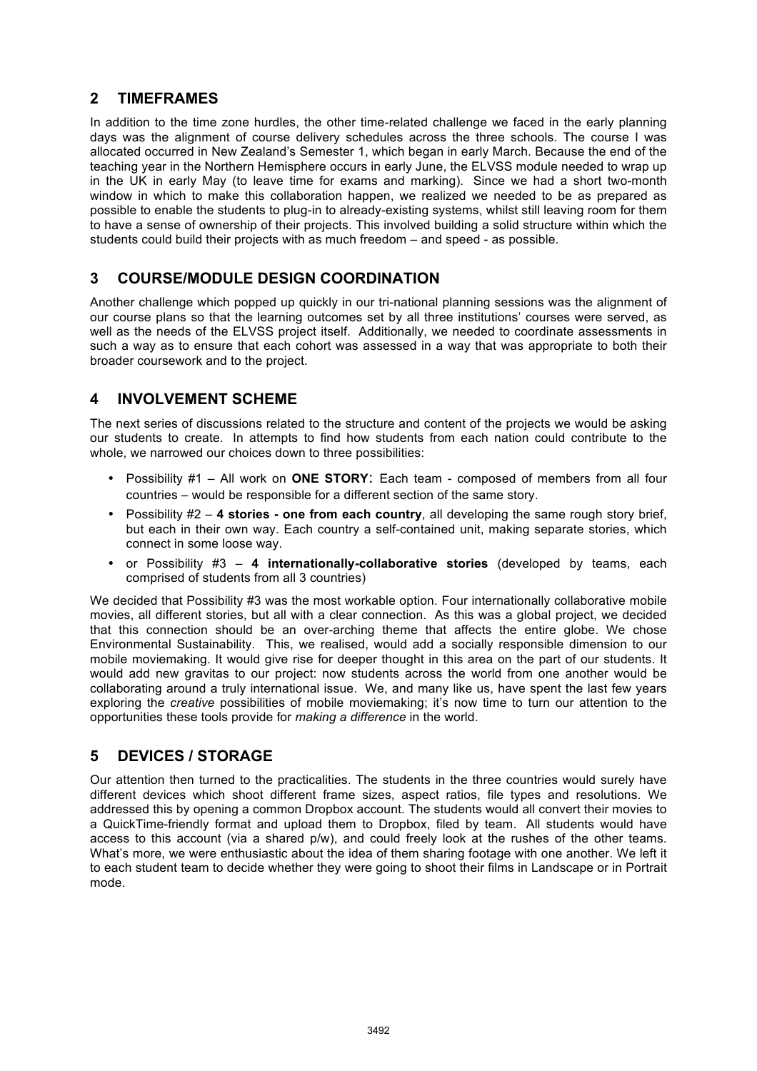## **2 TIMEFRAMES**

In addition to the time zone hurdles, the other time-related challenge we faced in the early planning days was the alignment of course delivery schedules across the three schools. The course I was allocated occurred in New Zealand's Semester 1, which began in early March. Because the end of the teaching year in the Northern Hemisphere occurs in early June, the ELVSS module needed to wrap up in the UK in early May (to leave time for exams and marking). Since we had a short two-month window in which to make this collaboration happen, we realized we needed to be as prepared as possible to enable the students to plug-in to already-existing systems, whilst still leaving room for them to have a sense of ownership of their projects. This involved building a solid structure within which the students could build their projects with as much freedom – and speed - as possible.

## **3 COURSE/MODULE DESIGN COORDINATION**

Another challenge which popped up quickly in our tri-national planning sessions was the alignment of our course plans so that the learning outcomes set by all three institutions' courses were served, as well as the needs of the ELVSS project itself. Additionally, we needed to coordinate assessments in such a way as to ensure that each cohort was assessed in a way that was appropriate to both their broader coursework and to the project.

## **4 INVOLVEMENT SCHEME**

The next series of discussions related to the structure and content of the projects we would be asking our students to create. In attempts to find how students from each nation could contribute to the whole, we narrowed our choices down to three possibilities:

- Possibility #1 All work on **ONE STORY**: Each team composed of members from all four countries – would be responsible for a different section of the same story.
- Possibility #2 **4 stories one from each country**, all developing the same rough story brief, but each in their own way. Each country a self-contained unit, making separate stories, which connect in some loose way.
- or Possibility #3 **4 internationally-collaborative stories** (developed by teams, each comprised of students from all 3 countries)

We decided that Possibility #3 was the most workable option. Four internationally collaborative mobile movies, all different stories, but all with a clear connection. As this was a global project, we decided that this connection should be an over-arching theme that affects the entire globe. We chose Environmental Sustainability. This, we realised, would add a socially responsible dimension to our mobile moviemaking. It would give rise for deeper thought in this area on the part of our students. It would add new gravitas to our project: now students across the world from one another would be collaborating around a truly international issue. We, and many like us, have spent the last few years exploring the *creative* possibilities of mobile moviemaking; it's now time to turn our attention to the opportunities these tools provide for *making a difference* in the world.

## **5 DEVICES / STORAGE**

Our attention then turned to the practicalities. The students in the three countries would surely have different devices which shoot different frame sizes, aspect ratios, file types and resolutions. We addressed this by opening a common Dropbox account. The students would all convert their movies to a QuickTime-friendly format and upload them to Dropbox, filed by team. All students would have access to this account (via a shared p/w), and could freely look at the rushes of the other teams. What's more, we were enthusiastic about the idea of them sharing footage with one another. We left it to each student team to decide whether they were going to shoot their films in Landscape or in Portrait mode.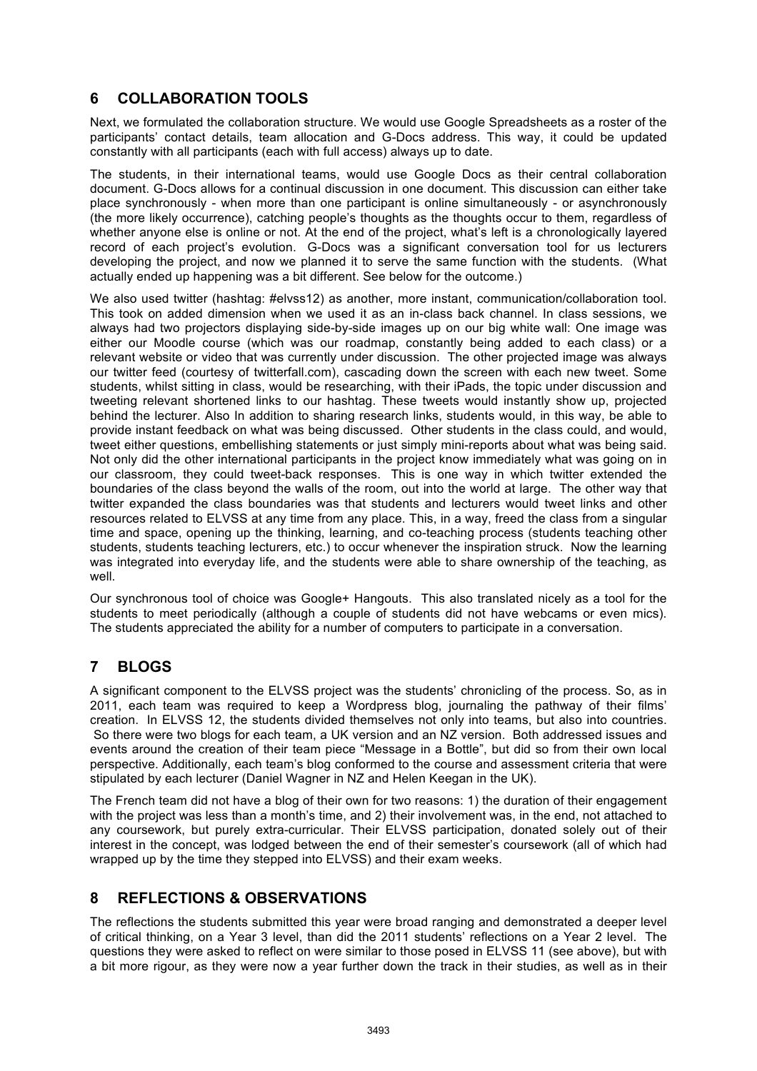# **6 COLLABORATION TOOLS**

Next, we formulated the collaboration structure. We would use Google Spreadsheets as a roster of the participants' contact details, team allocation and G-Docs address. This way, it could be updated constantly with all participants (each with full access) always up to date.

The students, in their international teams, would use Google Docs as their central collaboration document. G-Docs allows for a continual discussion in one document. This discussion can either take place synchronously - when more than one participant is online simultaneously - or asynchronously (the more likely occurrence), catching people's thoughts as the thoughts occur to them, regardless of whether anyone else is online or not. At the end of the project, what's left is a chronologically layered record of each project's evolution. G-Docs was a significant conversation tool for us lecturers developing the project, and now we planned it to serve the same function with the students. (What actually ended up happening was a bit different. See below for the outcome.)

We also used twitter (hashtag: #elvss12) as another, more instant, communication/collaboration tool. This took on added dimension when we used it as an in-class back channel. In class sessions, we always had two projectors displaying side-by-side images up on our big white wall: One image was either our Moodle course (which was our roadmap, constantly being added to each class) or a relevant website or video that was currently under discussion. The other projected image was always our twitter feed (courtesy of twitterfall.com), cascading down the screen with each new tweet. Some students, whilst sitting in class, would be researching, with their iPads, the topic under discussion and tweeting relevant shortened links to our hashtag. These tweets would instantly show up, projected behind the lecturer. Also In addition to sharing research links, students would, in this way, be able to provide instant feedback on what was being discussed. Other students in the class could, and would, tweet either questions, embellishing statements or just simply mini-reports about what was being said. Not only did the other international participants in the project know immediately what was going on in our classroom, they could tweet-back responses. This is one way in which twitter extended the boundaries of the class beyond the walls of the room, out into the world at large. The other way that twitter expanded the class boundaries was that students and lecturers would tweet links and other resources related to ELVSS at any time from any place. This, in a way, freed the class from a singular time and space, opening up the thinking, learning, and co-teaching process (students teaching other students, students teaching lecturers, etc.) to occur whenever the inspiration struck. Now the learning was integrated into everyday life, and the students were able to share ownership of the teaching, as well.

Our synchronous tool of choice was Google+ Hangouts. This also translated nicely as a tool for the students to meet periodically (although a couple of students did not have webcams or even mics). The students appreciated the ability for a number of computers to participate in a conversation.

## **7 BLOGS**

A significant component to the ELVSS project was the students' chronicling of the process. So, as in 2011, each team was required to keep a Wordpress blog, journaling the pathway of their films' creation. In ELVSS 12, the students divided themselves not only into teams, but also into countries. So there were two blogs for each team, a UK version and an NZ version. Both addressed issues and events around the creation of their team piece "Message in a Bottle", but did so from their own local perspective. Additionally, each team's blog conformed to the course and assessment criteria that were stipulated by each lecturer (Daniel Wagner in NZ and Helen Keegan in the UK).

The French team did not have a blog of their own for two reasons: 1) the duration of their engagement with the project was less than a month's time, and 2) their involvement was, in the end, not attached to any coursework, but purely extra-curricular. Their ELVSS participation, donated solely out of their interest in the concept, was lodged between the end of their semester's coursework (all of which had wrapped up by the time they stepped into ELVSS) and their exam weeks.

### **8 REFLECTIONS & OBSERVATIONS**

The reflections the students submitted this year were broad ranging and demonstrated a deeper level of critical thinking, on a Year 3 level, than did the 2011 students' reflections on a Year 2 level. The questions they were asked to reflect on were similar to those posed in ELVSS 11 (see above), but with a bit more rigour, as they were now a year further down the track in their studies, as well as in their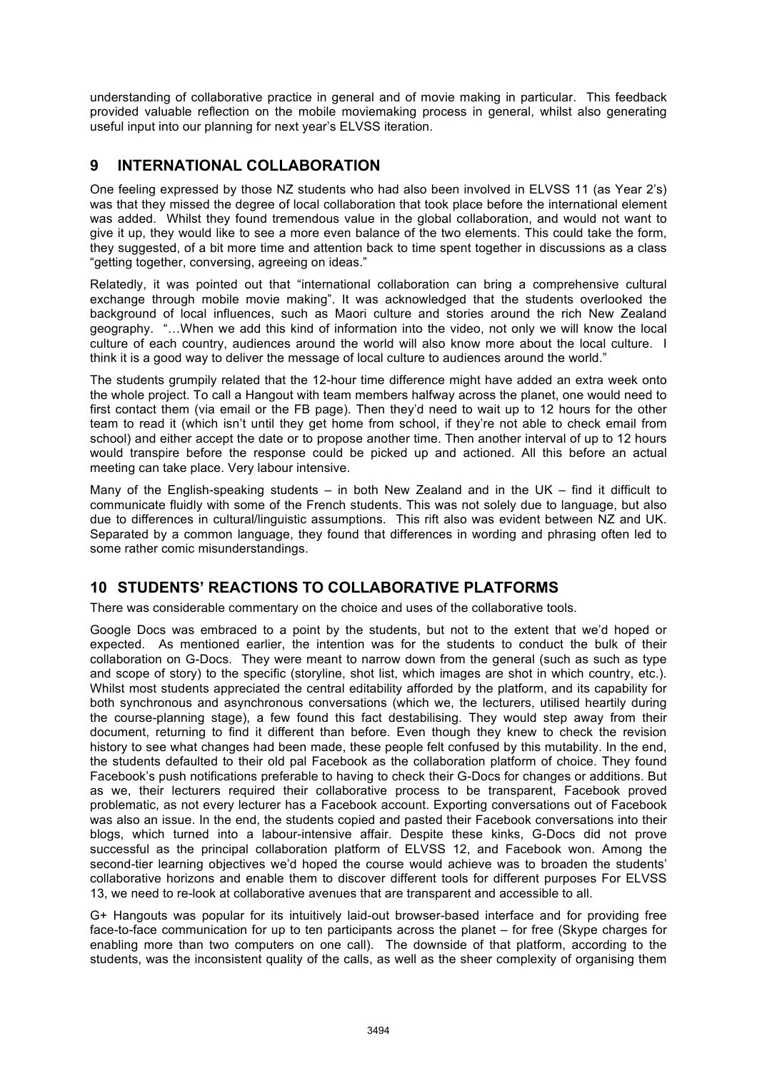understanding of collaborative practice in general and of movie making in particular. This feedback provided valuable reflection on the mobile moviemaking process in general, whilst also generating useful input into our planning for next year's ELVSS iteration.

### **9 INTERNATIONAL COLLABORATION**

One feeling expressed by those NZ students who had also been involved in ELVSS 11 (as Year 2's) was that they missed the degree of local collaboration that took place before the international element was added. Whilst they found tremendous value in the global collaboration, and would not want to give it up, they would like to see a more even balance of the two elements. This could take the form, they suggested, of a bit more time and attention back to time spent together in discussions as a class "getting together, conversing, agreeing on ideas."

Relatedly, it was pointed out that "international collaboration can bring a comprehensive cultural exchange through mobile movie making". It was acknowledged that the students overlooked the background of local influences, such as Maori culture and stories around the rich New Zealand geography. "…When we add this kind of information into the video, not only we will know the local culture of each country, audiences around the world will also know more about the local culture. I think it is a good way to deliver the message of local culture to audiences around the world."

The students grumpily related that the 12-hour time difference might have added an extra week onto the whole project. To call a Hangout with team members halfway across the planet, one would need to first contact them (via email or the FB page). Then they'd need to wait up to 12 hours for the other team to read it (which isn't until they get home from school, if they're not able to check email from school) and either accept the date or to propose another time. Then another interval of up to 12 hours would transpire before the response could be picked up and actioned. All this before an actual meeting can take place. Very labour intensive.

Many of the English-speaking students – in both New Zealand and in the UK – find it difficult to communicate fluidly with some of the French students. This was not solely due to language, but also due to differences in cultural/linguistic assumptions. This rift also was evident between NZ and UK. Separated by a common language, they found that differences in wording and phrasing often led to some rather comic misunderstandings.

## **10 STUDENTS' REACTIONS TO COLLABORATIVE PLATFORMS**

There was considerable commentary on the choice and uses of the collaborative tools.

Google Docs was embraced to a point by the students, but not to the extent that we'd hoped or expected. As mentioned earlier, the intention was for the students to conduct the bulk of their collaboration on G-Docs. They were meant to narrow down from the general (such as such as type and scope of story) to the specific (storyline, shot list, which images are shot in which country, etc.). Whilst most students appreciated the central editability afforded by the platform, and its capability for both synchronous and asynchronous conversations (which we, the lecturers, utilised heartily during the course-planning stage), a few found this fact destabilising. They would step away from their document, returning to find it different than before. Even though they knew to check the revision history to see what changes had been made, these people felt confused by this mutability. In the end, the students defaulted to their old pal Facebook as the collaboration platform of choice. They found Facebook's push notifications preferable to having to check their G-Docs for changes or additions. But as we, their lecturers required their collaborative process to be transparent, Facebook proved problematic, as not every lecturer has a Facebook account. Exporting conversations out of Facebook was also an issue. In the end, the students copied and pasted their Facebook conversations into their blogs, which turned into a labour-intensive affair. Despite these kinks, G-Docs did not prove successful as the principal collaboration platform of ELVSS 12, and Facebook won. Among the second-tier learning objectives we'd hoped the course would achieve was to broaden the students' collaborative horizons and enable them to discover different tools for different purposes For ELVSS 13, we need to re-look at collaborative avenues that are transparent and accessible to all.

G+ Hangouts was popular for its intuitively laid-out browser-based interface and for providing free face-to-face communication for up to ten participants across the planet – for free (Skype charges for enabling more than two computers on one call). The downside of that platform, according to the students, was the inconsistent quality of the calls, as well as the sheer complexity of organising them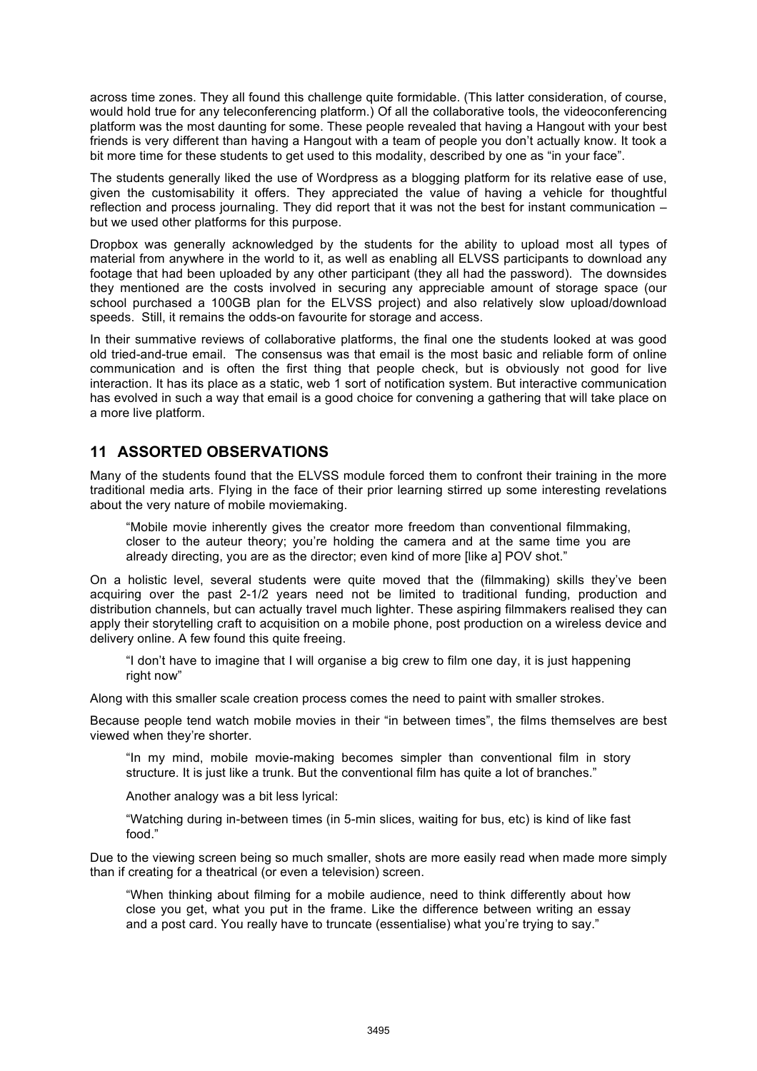across time zones. They all found this challenge quite formidable. (This latter consideration, of course, would hold true for any teleconferencing platform.) Of all the collaborative tools, the videoconferencing platform was the most daunting for some. These people revealed that having a Hangout with your best friends is very different than having a Hangout with a team of people you don't actually know. It took a bit more time for these students to get used to this modality, described by one as "in your face".

The students generally liked the use of Wordpress as a blogging platform for its relative ease of use, given the customisability it offers. They appreciated the value of having a vehicle for thoughtful reflection and process journaling. They did report that it was not the best for instant communication – but we used other platforms for this purpose.

Dropbox was generally acknowledged by the students for the ability to upload most all types of material from anywhere in the world to it, as well as enabling all ELVSS participants to download any footage that had been uploaded by any other participant (they all had the password). The downsides they mentioned are the costs involved in securing any appreciable amount of storage space (our school purchased a 100GB plan for the ELVSS project) and also relatively slow upload/download speeds. Still, it remains the odds-on favourite for storage and access.

In their summative reviews of collaborative platforms, the final one the students looked at was good old tried-and-true email. The consensus was that email is the most basic and reliable form of online communication and is often the first thing that people check, but is obviously not good for live interaction. It has its place as a static, web 1 sort of notification system. But interactive communication has evolved in such a way that email is a good choice for convening a gathering that will take place on a more live platform.

#### **11 ASSORTED OBSERVATIONS**

Many of the students found that the ELVSS module forced them to confront their training in the more traditional media arts. Flying in the face of their prior learning stirred up some interesting revelations about the very nature of mobile moviemaking.

"Mobile movie inherently gives the creator more freedom than conventional filmmaking, closer to the auteur theory; you're holding the camera and at the same time you are already directing, you are as the director; even kind of more [like a] POV shot."

On a holistic level, several students were quite moved that the (filmmaking) skills they've been acquiring over the past 2-1/2 years need not be limited to traditional funding, production and distribution channels, but can actually travel much lighter. These aspiring filmmakers realised they can apply their storytelling craft to acquisition on a mobile phone, post production on a wireless device and delivery online. A few found this quite freeing.

"I don't have to imagine that I will organise a big crew to film one day, it is just happening right now"

Along with this smaller scale creation process comes the need to paint with smaller strokes.

Because people tend watch mobile movies in their "in between times", the films themselves are best viewed when they're shorter.

"In my mind, mobile movie-making becomes simpler than conventional film in story structure. It is just like a trunk. But the conventional film has quite a lot of branches."

Another analogy was a bit less lyrical:

"Watching during in-between times (in 5-min slices, waiting for bus, etc) is kind of like fast food."

Due to the viewing screen being so much smaller, shots are more easily read when made more simply than if creating for a theatrical (or even a television) screen.

"When thinking about filming for a mobile audience, need to think differently about how close you get, what you put in the frame. Like the difference between writing an essay and a post card. You really have to truncate (essentialise) what you're trying to say."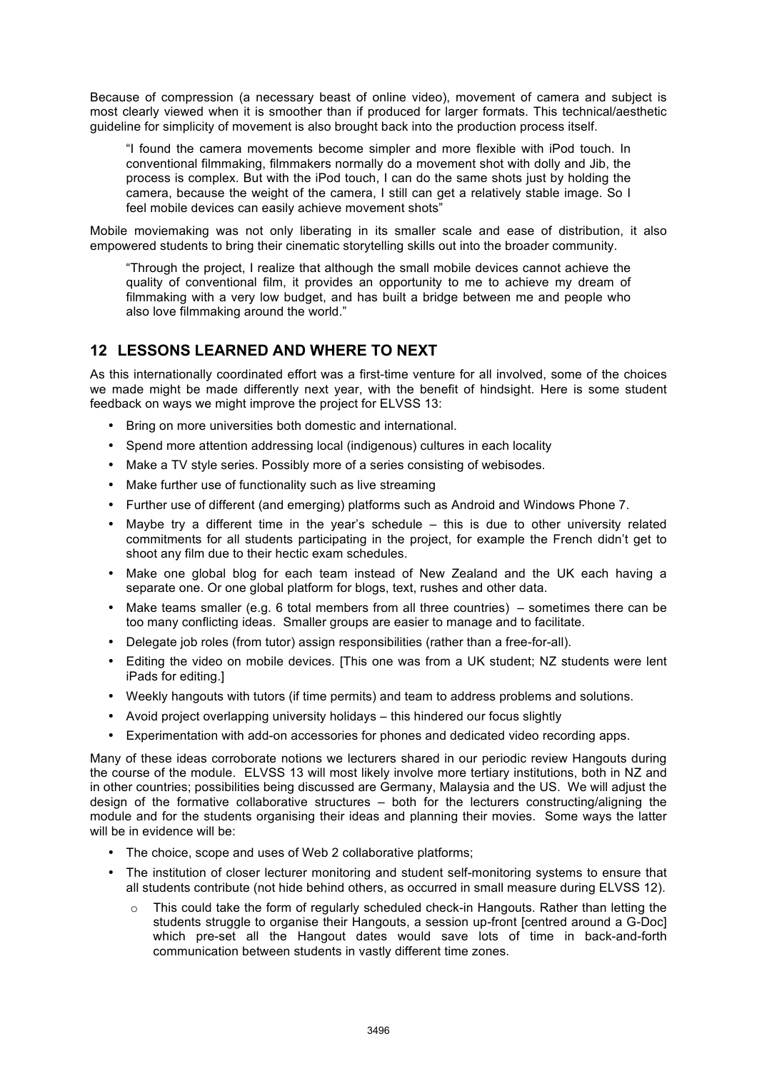Because of compression (a necessary beast of online video), movement of camera and subject is most clearly viewed when it is smoother than if produced for larger formats. This technical/aesthetic guideline for simplicity of movement is also brought back into the production process itself.

"I found the camera movements become simpler and more flexible with iPod touch. In conventional filmmaking, filmmakers normally do a movement shot with dolly and Jib, the process is complex. But with the iPod touch, I can do the same shots just by holding the camera, because the weight of the camera, I still can get a relatively stable image. So I feel mobile devices can easily achieve movement shots"

Mobile moviemaking was not only liberating in its smaller scale and ease of distribution, it also empowered students to bring their cinematic storytelling skills out into the broader community.

"Through the project, I realize that although the small mobile devices cannot achieve the quality of conventional film, it provides an opportunity to me to achieve my dream of filmmaking with a very low budget, and has built a bridge between me and people who also love filmmaking around the world."

#### **12 LESSONS LEARNED AND WHERE TO NEXT**

As this internationally coordinated effort was a first-time venture for all involved, some of the choices we made might be made differently next year, with the benefit of hindsight. Here is some student feedback on ways we might improve the project for ELVSS 13:

- Bring on more universities both domestic and international.
- Spend more attention addressing local (indigenous) cultures in each locality
- Make a TV style series. Possibly more of a series consisting of webisodes.
- Make further use of functionality such as live streaming
- Further use of different (and emerging) platforms such as Android and Windows Phone 7.
- Maybe try a different time in the year's schedule this is due to other university related commitments for all students participating in the project, for example the French didn't get to shoot any film due to their hectic exam schedules.
- Make one global blog for each team instead of New Zealand and the UK each having a separate one. Or one global platform for blogs, text, rushes and other data.
- Make teams smaller (e.g. 6 total members from all three countries) sometimes there can be too many conflicting ideas. Smaller groups are easier to manage and to facilitate.
- Delegate job roles (from tutor) assign responsibilities (rather than a free-for-all).
- Editing the video on mobile devices. [This one was from a UK student; NZ students were lent iPads for editing.]
- Weekly hangouts with tutors (if time permits) and team to address problems and solutions.
- Avoid project overlapping university holidays this hindered our focus slightly
- Experimentation with add-on accessories for phones and dedicated video recording apps.

Many of these ideas corroborate notions we lecturers shared in our periodic review Hangouts during the course of the module. ELVSS 13 will most likely involve more tertiary institutions, both in NZ and in other countries; possibilities being discussed are Germany, Malaysia and the US. We will adjust the design of the formative collaborative structures – both for the lecturers constructing/aligning the module and for the students organising their ideas and planning their movies. Some ways the latter will be in evidence will be:

- The choice, scope and uses of Web 2 collaborative platforms;
- The institution of closer lecturer monitoring and student self-monitoring systems to ensure that all students contribute (not hide behind others, as occurred in small measure during ELVSS 12).
	- $\circ$  This could take the form of regularly scheduled check-in Hangouts. Rather than letting the students struggle to organise their Hangouts, a session up-front [centred around a G-Doc] which pre-set all the Hangout dates would save lots of time in back-and-forth communication between students in vastly different time zones.